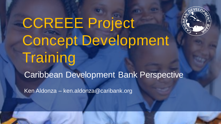

# CCREEE Project Concept Development **Training**

Caribbean Development Bank Perspective

Ken Aldonza – ken.aldonza@caribank.org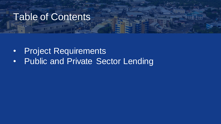#### Table of Contents

- Project Requirements
- Public and Private Sector Lending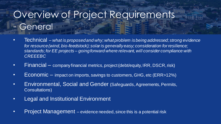## Overview of Project Requirements - General

- Technical *– what is proposed and why; what problem is being addressed; strong evidence for resource (wind, bio-feedstock); solar is generally easy; consideration for resilience; standards; for EE projects – going forward where relevant, will consider compliance with CREEEBC*
- Financial company financial metrics, project (debt/equity, IRR, DSCR, risk)
- Economic impact on imports, savings to customers, GHG, etc (ERR>12%)
- Environmental, Social and Gender (Safeguards, Agreements, Permits, Consultations)
- Legal and Institutional Environment
- Project Management evidence needed, since this is a potential risk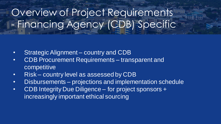# Overview of Project Requirements - Financing Agency (CDB) Specific

- Strategic Alignment country and CDB
- CDB Procurement Requirements transparent and competitive
- Risk country level as assessed by CDB
- Disbursements projections and implementation schedule
- CDB Integrity Due Diligence for project sponsors + increasingly important ethical sourcing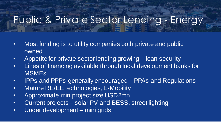### Public & Private Sector Lending - Energy

- Most funding is to utility companies both private and public owned
- Appetite for private sector lending growing loan security
- Lines of financing available through local development banks for MSMEs
- IPPs and PPPs generally encouraged PPAs and Regulations
- Mature RE/EE technologies, E-Mobility
- Approximate min project size USD2mn
- Current projects solar PV and BESS, street lighting
- Under development mini grids